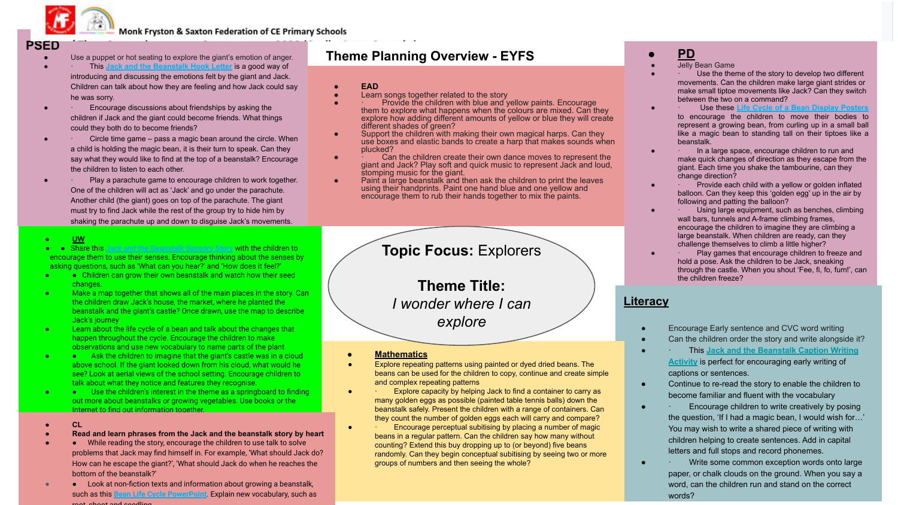

**Monk Fryston & Saxton Federation of CE Primary Schools** 

# **PSED**

- Use a puppet or hot seating to explore the giant's emotion of anger.
- This **[Jack and the Beanstalk Hook Letter](https://www.twinkl.co.uk/resource/jack-and-the-beanstalk-hook-letter-t-tp-6437)** is a good way of introducing and discussing the emotions felt by the giant and Jack. Children can talk about how they are feeling and how Jack could say he was sorry.
- Encourage discussions about friendships by asking the children if Jack and the giant could become friends. What things could they both do to become friends?
- Circle time game pass a magic bean around the circle. When a child is holding the magic bean, it is their turn to speak. Can they say what they would like to find at the top of a beanstalk? Encourage the children to listen to each other.
- Play a parachute game to encourage children to work together. One of the children will act as 'Jack' and go under the parachute. Another child (the giant) goes on top of the parachute. The giant must try to find Jack while the rest of the group try to hide him by shaking the parachute up and down to disguise Jack's movements.
- **● UW**
- ●· Share this **[Jack and the Beanstalk Sensory Story](https://www.twinkl.co.uk/resource/t-s-258-jack-and-the-beanstalk-sensory-story)** with the children to encourage them to use their senses. Encourage thinking about the senses by asking questions, such as 'What can you hear?' and 'How does it feel?'
- Children can grow their own beanstalk and watch how their seed changes.
- Make a map together that shows all of the main places in the story. Can the children draw Jack's house, the market, where he planted the beanstalk and the giant's castle? Once drawn, use the map to describe Jack's journey
- Learn about the life cycle of a bean and talk about the changes that happen throughout the cycle. Encourage the children to make observations and use new vocabulary to name parts of the plant
- Ask the children to imagine that the giant's castle was in a cloud above school. If the giant looked down from his cloud, what would he see? Look at aerial views of the school setting. Encourage children to talk about what they notice and features they recognise.
- ● Use the children's interest in the theme as a springboard to finding out more about beanstalks or growing vegetables. Use books or the Internet to find out information together
- **● CL**
- **● Read and learn phrases from the Jack and the beanstalk story by heart**
- ● While reading the story, encourage the children to use talk to solve problems that Jack may find himself in. For example, 'What should Jack do? How can he escape the giant?', 'What should Jack do when he reaches the bottom of the beanstalk?'
- ● Look at non-fiction texts and information about growing a beanstalk, such as this **[Bean Life Cycle PowerPoint](https://www.twinkl.co.uk/resource/t-t-5231-bean-life-cycle-powerpoint)**. Explain new vocabulary, such as root, shoot and seedling.

# **Theme Planning Overview - EYFS**

- **● EAD**
- Learn songs together related to the story
- Provide the children with blue and yellow paints. Encourage them to explore what happens when the colours are mixed. Can they explore how adding different amounts of yellow or blue they will create different shades of green?
- Support the children with making their own magical harps. Can they use boxes and elastic bands to create a harp that makes sounds when plucked?
- Can the children create their own dance moves to represent the giant and Jack? Play soft and quick music to represent Jack and loud, stomping music for the giant.
- Paint a large beanstalk and then ask the children to print the leaves using their handprints. Paint one hand blue and one yellow and encourage them to rub their hands together to mix the paints.

# **Topic Focus:** Explorers

**Theme Title:** *I wonder where I can explore*

- **● Mathematics**
- Explore repeating patterns using painted or dyed dried beans. The beans can be used for the children to copy, continue and create simple and complex repeating patterns
- Explore capacity by helping Jack to find a container to carry as many golden eggs as possible (painted table tennis balls) down the beanstalk safely. Present the children with a range of containers. Can they count the number of golden eggs each will carry and compare?
- Encourage perceptual subitising by placing a number of magic beans in a regular pattern. Can the children say how many without counting? Extend this buy dropping up to (or beyond) five beans randomly. Can they begin conceptual subitising by seeing two or more groups of numbers and then seeing the whole?

# **● PD**

- **Jelly Bean Game**
- Use the theme of the story to develop two different movements. Can the children make large giant strides or make small tiptoe movements like Jack? Can they switch between the two on a command?
- **Use these [Life Cycle of a Bean Display Posters](https://www.twinkl.co.uk/resource/t-t-984-life-cycle-of-a-bean-display-posters)** to encourage the children to move their bodies to represent a growing bean, from curling up in a small ball like a magic bean to standing tall on their tiptoes like a beanstalk.
- In a large space, encourage children to run and make quick changes of direction as they escape from the giant. Each time you shake the tambourine, can they change direction?
- · Provide each child with a yellow or golden inflated balloon. Can they keep this 'golden egg' up in the air by following and patting the balloon?
- Using large equipment, such as benches, climbing wall bars, tunnels and A-frame climbing frames, encourage the children to imagine they are climbing a large beanstalk. When children are ready, can they challenge themselves to climb a little higher?
- · Play games that encourage children to freeze and hold a pose. Ask the children to be Jack, sneaking through the castle. When you shout 'Fee, fi, fo, fum!', can the children freeze?

# **Literacy**

- Encourage Early sentence and CVC word writing
- Can the children order the story and write alongside it?
- · This **[Jack and the Beanstalk Caption Writing](https://www.twinkl.co.uk/resource/jack-and-the-beanstalk-caption-writing-activity-t-e-2552211) [Activity](https://www.twinkl.co.uk/resource/jack-and-the-beanstalk-caption-writing-activity-t-e-2552211)** is perfect for encouraging early writing of captions or sentences.
- Continue to re-read the story to enable the children to become familiar and fluent with the vocabulary
- · Encourage children to write creatively by posing the question, 'If I had a magic bean, I would wish for…' You may wish to write a shared piece of writing with children helping to create sentences. Add in capital letters and full stops and record phonemes.
- · Write some common exception words onto large paper, or chalk clouds on the ground. When you say a word, can the children run and stand on the correct words?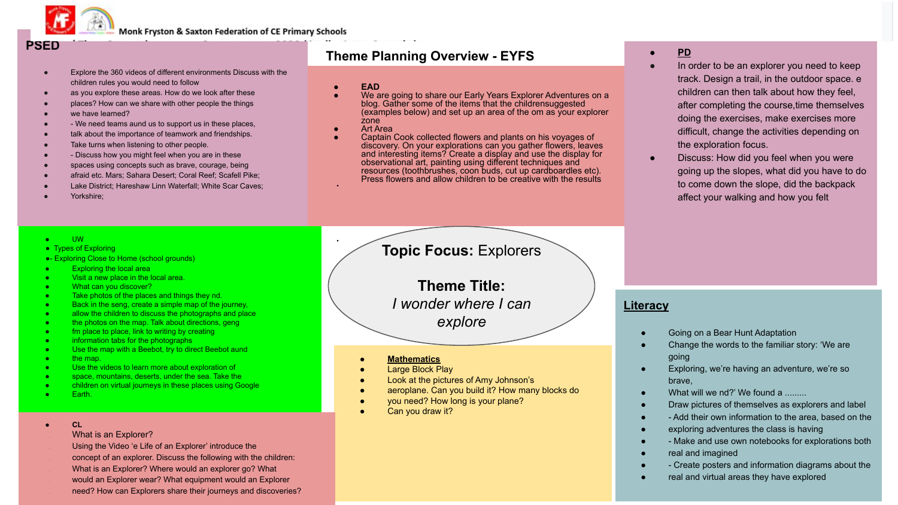

Monk Fryston & Saxton Federation of CE Primary Schools

# **PSED**

- Explore the 360 videos of different environments Discuss with the children rules you would need to follow
- as you explore these areas. How do we look after these
- places? How can we share with other people the things
- we have learned?
- We need teams aund us to support us in these places.
- talk about the importance of teamwork and friendships.
- Take turns when listening to other people.

●- Exploring Close to Home (school grounds) **Exploring the local area** Visit a new place in the local area. What can you discover?

- Discuss how you might feel when you are in these
- spaces using concepts such as brave, courage, being
- afraid etc. Mars; Sahara Desert; Coral Reef; Scafell Pike;
- Lake District; Hareshaw Linn Waterfall; White Scar Caves;

● UW ●

Yorkshire:

● Types of Exploring

# **Theme Planning Overview - EYFS**

- **● EAD**
- We are going to share our Early Years Explorer Adventures on a blog. Gather some of the items that the childrensuggested (examples below) and set up an area of the om as your explorer zone
- Art Area

●

Captain Cook collected flowers and plants on his voyages of discovery. On your explorations can you gather flowers, leaves and interesting items? Create a display and use the display for observational art, painting using different techniques and resources (toothbrushes, coon buds, cut up cardboardles etc). Press flowers and allow children to be creative with the results

# **Topic Focus:** Explorers

**Theme Title:** *I wonder where I can explore*

- the man
- Use the videos to learn more about exploration of

• fm place to place, link to writing by creating ● information tabs for the photographs

space, mountains, deserts, under the sea. Take the

Take photos of the places and things they nd. Back in the seng, create a simple map of the journey, ● allow the children to discuss the photographs and place the photos on the map. Talk about directions, geng

children on virtual journeys in these places using Google

Use the map with a Beebot, try to direct Beebot aund

- **Earth**
- **● CL**

#### What is an Explorer?

- Using the Video 'e Life of an Explorer' introduce the
- concept of an explorer. Discuss the following with the children:
- What is an Explorer? Where would an explorer go? What
- would an Explorer wear? What equipment would an Explorer
- need? How can Explorers share their journeys and discoveries?

#### **● Mathematics**

- **Large Block Play**
- Look at the pictures of Amy Johnson's
- aeroplane. Can you build it? How many blocks do
- you need? How long is your plane?
- Can you draw it?

# **● PD**

- In order to be an explorer you need to keep track. Design a trail, in the outdoor space. e children can then talk about how they feel, after completing the course,time themselves doing the exercises, make exercises more difficult, change the activities depending on the exploration focus.
- Discuss: How did you feel when you were going up the slopes, what did you have to do to come down the slope, did the backpack affect your walking and how you felt

# **Literacy**

- Going on a Bear Hunt Adaptation
- Change the words to the familiar story: 'We are going
- Exploring, we're having an adventure, we're so brave,
- What will we nd?' We found a ........
- Draw pictures of themselves as explorers and label
- - Add their own information to the area, based on the
- exploring adventures the class is having
- - Make and use own notebooks for explorations both
- real and imagined
- - Create posters and information diagrams about the
- real and virtual areas they have explored